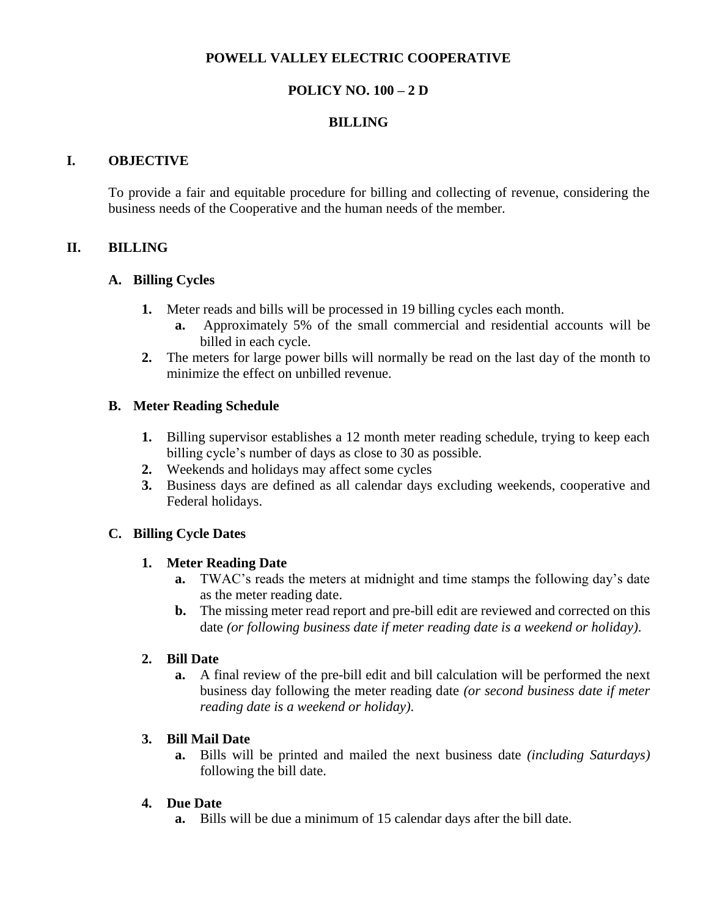# **POWELL VALLEY ELECTRIC COOPERATIVE**

## **POLICY NO. 100 – 2 D**

## **BILLING**

## **I. OBJECTIVE**

To provide a fair and equitable procedure for billing and collecting of revenue, considering the business needs of the Cooperative and the human needs of the member*.*

## **II. BILLING**

## **A. Billing Cycles**

- **1.** Meter reads and bills will be processed in 19 billing cycles each month.
	- **a.** Approximately 5% of the small commercial and residential accounts will be billed in each cycle.
- **2.** The meters for large power bills will normally be read on the last day of the month to minimize the effect on unbilled revenue.

## **B. Meter Reading Schedule**

- **1.** Billing supervisor establishes a 12 month meter reading schedule, trying to keep each billing cycle's number of days as close to 30 as possible.
- **2.** Weekends and holidays may affect some cycles
- **3.** Business days are defined as all calendar days excluding weekends, cooperative and Federal holidays.

## **C. Billing Cycle Dates**

## **1. Meter Reading Date**

- **a.** TWAC's reads the meters at midnight and time stamps the following day's date as the meter reading date.
- **b.** The missing meter read report and pre-bill edit are reviewed and corrected on this date *(or following business date if meter reading date is a weekend or holiday)*.

## **2. Bill Date**

**a.** A final review of the pre-bill edit and bill calculation will be performed the next business day following the meter reading date *(or second business date if meter reading date is a weekend or holiday)*.

## **3. Bill Mail Date**

**a.** Bills will be printed and mailed the next business date *(including Saturdays)*  following the bill date.

## **4. Due Date**

**a.** Bills will be due a minimum of 15 calendar days after the bill date.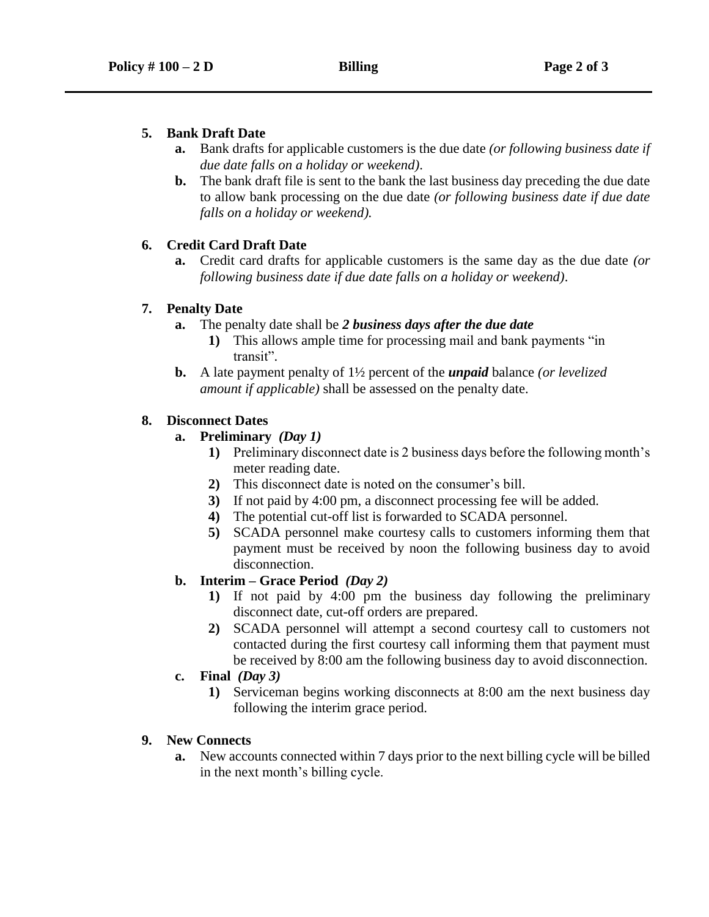## **5. Bank Draft Date**

- **a.** Bank drafts for applicable customers is the due date *(or following business date if due date falls on a holiday or weekend)*.
- **b.** The bank draft file is sent to the bank the last business day preceding the due date to allow bank processing on the due date *(or following business date if due date falls on a holiday or weekend).*

## **6. Credit Card Draft Date**

**a.** Credit card drafts for applicable customers is the same day as the due date *(or following business date if due date falls on a holiday or weekend)*.

## **7. Penalty Date**

- **a.** The penalty date shall be *2 business days after the due date*
	- **1)** This allows ample time for processing mail and bank payments "in transit".
- **b.** A late payment penalty of 1½ percent of the *unpaid* balance *(or levelized amount if applicable)* shall be assessed on the penalty date.

## **8. Disconnect Dates**

- **a. Preliminary** *(Day 1)*
	- **1)** Preliminary disconnect date is 2 business days before the following month's meter reading date.
	- **2)** This disconnect date is noted on the consumer's bill.
	- **3)** If not paid by 4:00 pm, a disconnect processing fee will be added.
	- **4)** The potential cut-off list is forwarded to SCADA personnel.
	- **5)** SCADA personnel make courtesy calls to customers informing them that payment must be received by noon the following business day to avoid disconnection.

## **b. Interim – Grace Period** *(Day 2)*

- **1)** If not paid by 4:00 pm the business day following the preliminary disconnect date, cut-off orders are prepared.
- **2)** SCADA personnel will attempt a second courtesy call to customers not contacted during the first courtesy call informing them that payment must be received by 8:00 am the following business day to avoid disconnection.

# **c. Final** *(Day 3)*

**1)** Serviceman begins working disconnects at 8:00 am the next business day following the interim grace period.

## **9. New Connects**

**a.** New accounts connected within 7 days prior to the next billing cycle will be billed in the next month's billing cycle.